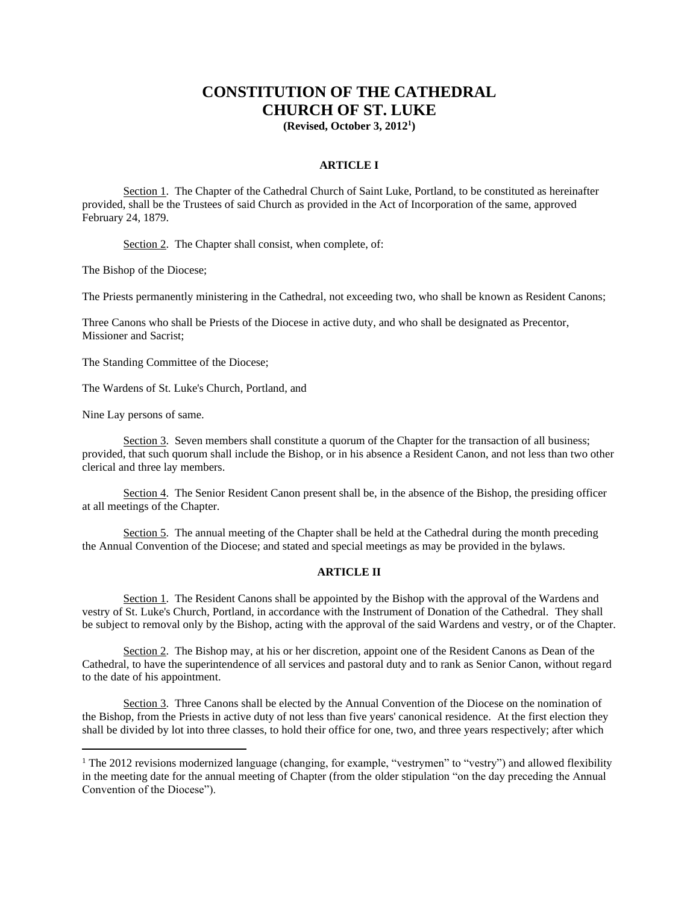# **CONSTITUTION OF THE CATHEDRAL CHURCH OF ST. LUKE**

**(Revised, October 3, 2012<sup>1</sup> )**

## **ARTICLE I**

Section 1. The Chapter of the Cathedral Church of Saint Luke, Portland, to be constituted as hereinafter provided, shall be the Trustees of said Church as provided in the Act of Incorporation of the same, approved February 24, 1879.

Section 2. The Chapter shall consist, when complete, of:

The Bishop of the Diocese;

The Priests permanently ministering in the Cathedral, not exceeding two, who shall be known as Resident Canons;

Three Canons who shall be Priests of the Diocese in active duty, and who shall be designated as Precentor, Missioner and Sacrist;

The Standing Committee of the Diocese;

The Wardens of St. Luke's Church, Portland, and

Nine Lay persons of same.

Section 3. Seven members shall constitute a quorum of the Chapter for the transaction of all business; provided, that such quorum shall include the Bishop, or in his absence a Resident Canon, and not less than two other clerical and three lay members.

Section 4. The Senior Resident Canon present shall be, in the absence of the Bishop, the presiding officer at all meetings of the Chapter.

Section 5. The annual meeting of the Chapter shall be held at the Cathedral during the month preceding the Annual Convention of the Diocese; and stated and special meetings as may be provided in the bylaws.

## **ARTICLE II**

Section 1. The Resident Canons shall be appointed by the Bishop with the approval of the Wardens and vestry of St. Luke's Church, Portland, in accordance with the Instrument of Donation of the Cathedral. They shall be subject to removal only by the Bishop, acting with the approval of the said Wardens and vestry, or of the Chapter.

Section 2. The Bishop may, at his or her discretion, appoint one of the Resident Canons as Dean of the Cathedral, to have the superintendence of all services and pastoral duty and to rank as Senior Canon, without regard to the date of his appointment.

Section 3. Three Canons shall be elected by the Annual Convention of the Diocese on the nomination of the Bishop, from the Priests in active duty of not less than five years' canonical residence. At the first election they shall be divided by lot into three classes, to hold their office for one, two, and three years respectively; after which

<sup>&</sup>lt;sup>1</sup> The 2012 revisions modernized language (changing, for example, "vestrymen" to "vestry") and allowed flexibility in the meeting date for the annual meeting of Chapter (from the older stipulation "on the day preceding the Annual Convention of the Diocese").